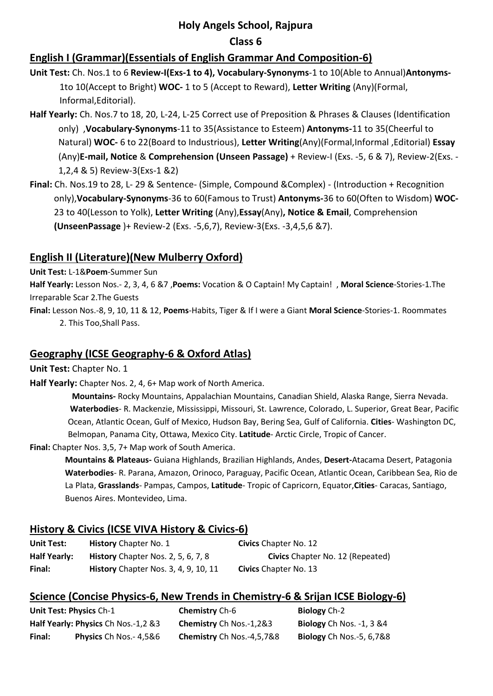### **Holy Angels School, Rajpura**

### **Class 6**

## **English I (Grammar)(Essentials of English Grammar And Composition-6)**

**Unit Test:** Ch. Nos.1 to 6 **Review-I(Exs-1 to 4), Vocabulary-Synonyms**-1 to 10(Able to Annual)**Antonyms-**1to 10(Accept to Bright) **WOC-** 1 to 5 (Accept to Reward), **Letter Writing** (Any)(Formal, Informal,Editorial).

- **Half Yearly:** Ch. Nos.7 to 18, 20, L-24, L-25 Correct use of Preposition & Phrases & Clauses (Identification only) ,**Vocabulary-Synonyms**-11 to 35(Assistance to Esteem) **Antonyms-**11 to 35(Cheerful to Natural) **WOC-** 6 to 22(Board to Industrious), **Letter Writing**(Any)(Formal,Informal ,Editorial) **Essay** (Any)**E-mail, Notice** & **Comprehension (Unseen Passage)** + Review-I (Exs. -5, 6 & 7), Review-2(Exs. - 1,2,4 & 5) Review-3(Exs-1 &2)
- **Final:** Ch. Nos.19 to 28, L- 29 & Sentence- (Simple, Compound &Complex) (Introduction + Recognition only),**Vocabulary-Synonyms**-36 to 60(Famous to Trust) **Antonyms-**36 to 60(Often to Wisdom) **WOC-**23 to 40(Lesson to Yolk), **Letter Writing** (Any),**Essay**(Any)**, Notice & Email**, Comprehension **(UnseenPassage** )+ Review-2 (Exs. -5,6,7), Review-3(Exs. -3,4,5,6 &7).

# **English II (Literature)(New Mulberry Oxford)**

**Unit Test:** L-1&**Poem**-Summer Sun

**Half Yearly:** Lesson Nos.- 2, 3, 4, 6 &7 ,**Poems:** Vocation & O Captain! My Captain! , **Moral Science**-Stories-1.The Irreparable Scar 2.The Guests

**Final:** Lesson Nos.-8, 9, 10, 11 & 12, **Poems**-Habits, Tiger & If I were a Giant **Moral Science**-Stories-1. Roommates 2. This Too,Shall Pass.

# **Geography (ICSE Geography-6 & Oxford Atlas)**

**Unit Test:** Chapter No. 1

**Half Yearly:** Chapter Nos. 2, 4, 6+ Map work of North America.

 **Mountains-** Rocky Mountains, Appalachian Mountains, Canadian Shield, Alaska Range, Sierra Nevada.  **Waterbodies**- R. Mackenzie, Mississippi, Missouri, St. Lawrence, Colorado, L. Superior, Great Bear, Pacific Ocean, Atlantic Ocean, Gulf of Mexico, Hudson Bay, Bering Sea, Gulf of California. **Cities**- Washington DC, Belmopan, Panama City, Ottawa, Mexico City. **Latitude**- Arctic Circle, Tropic of Cancer.

**Final:** Chapter Nos. 3,5, 7+ Map work of South America.

**Mountains & Plateaus-** Guiana Highlands, Brazilian Highlands, Andes, **Desert-**Atacama Desert, Patagonia **Waterbodies**- R. Parana, Amazon, Orinoco, Paraguay, Pacific Ocean, Atlantic Ocean, Caribbean Sea, Rio de La Plata, **Grasslands**- Pampas, Campos, **Latitude**- Tropic of Capricorn, Equator,**Cities**- Caracas, Santiago, Buenos Aires. Montevideo, Lima.

## **History & Civics (ICSE VIVA History & Civics-6)**

| <b>Unit Test:</b>   | <b>History</b> Chapter No. 1                | <b>Civics</b> Chapter No. 12     |
|---------------------|---------------------------------------------|----------------------------------|
| <b>Half Yearly:</b> | History Chapter Nos. 2, 5, 6, 7, 8          | Civics Chapter No. 12 (Repeated) |
| Final:              | <b>History</b> Chapter Nos. 3, 4, 9, 10, 11 | <b>Civics</b> Chapter No. 13     |

## **Science (Concise Physics-6, New Trends in Chemistry-6 & Srijan ICSE Biology-6)**

|        | Unit Test: Physics Ch-1             | <b>Chemistry</b> Ch-6     | <b>Biology</b> Ch-2             |
|--------|-------------------------------------|---------------------------|---------------------------------|
|        | Half Yearly: Physics Ch Nos.-1,2 &3 | Chemistry Ch Nos.-1,2&3   | <b>Biology</b> Ch Nos. -1, 3 &4 |
| Final: | <b>Physics</b> Ch Nos.- 4,5&6       | Chemistry Ch Nos.-4,5,7&8 | <b>Biology</b> Ch Nos.-5, 6,7&8 |